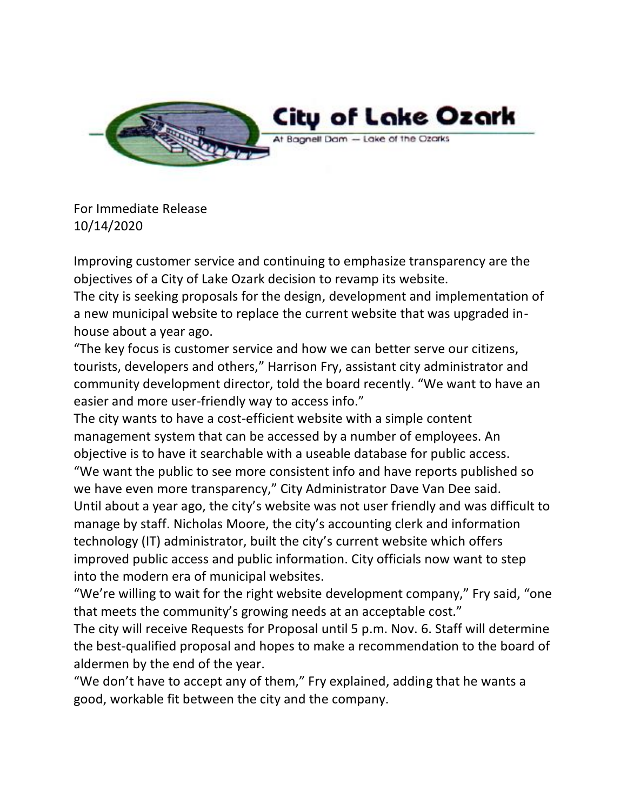

For Immediate Release 10/14/2020

Improving customer service and continuing to emphasize transparency are the objectives of a City of Lake Ozark decision to revamp its website.

The city is seeking proposals for the design, development and implementation of a new municipal website to replace the current website that was upgraded inhouse about a year ago.

"The key focus is customer service and how we can better serve our citizens, tourists, developers and others," Harrison Fry, assistant city administrator and community development director, told the board recently. "We want to have an easier and more user-friendly way to access info."

The city wants to have a cost-efficient website with a simple content management system that can be accessed by a number of employees. An objective is to have it searchable with a useable database for public access. "We want the public to see more consistent info and have reports published so we have even more transparency," City Administrator Dave Van Dee said. Until about a year ago, the city's website was not user friendly and was difficult to manage by staff. Nicholas Moore, the city's accounting clerk and information technology (IT) administrator, built the city's current website which offers improved public access and public information. City officials now want to step into the modern era of municipal websites.

"We're willing to wait for the right website development company," Fry said, "one that meets the community's growing needs at an acceptable cost."

The city will receive Requests for Proposal until 5 p.m. Nov. 6. Staff will determine the best-qualified proposal and hopes to make a recommendation to the board of aldermen by the end of the year.

"We don't have to accept any of them," Fry explained, adding that he wants a good, workable fit between the city and the company.